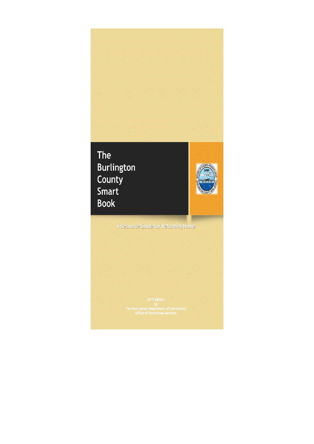## **The Burlington** County Smart **Book**



A Resource Guide for Returning Home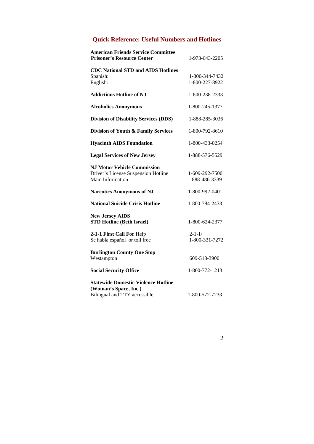## **Quick Reference: Useful Numbers and Hotlines**

| <b>American Friends Service Committee</b><br><b>Prisoner's Resource Center</b>                      | 1-973-643-2205                   |
|-----------------------------------------------------------------------------------------------------|----------------------------------|
| <b>CDC National STD and AIDS Hotlines</b><br>Spanish:<br>English:                                   | 1-800-344-7432<br>1-800-227-8922 |
| <b>Addictions Hotline of NJ</b>                                                                     | 1-800-238-2333                   |
| <b>Alcoholics Anonymous</b>                                                                         | 1-800-245-1377                   |
| <b>Division of Disability Services (DDS)</b>                                                        | 1-888-285-3036                   |
| Division of Youth & Family Services                                                                 | 1-800-792-8610                   |
| <b>Hyacinth AIDS Foundation</b>                                                                     | 1-800-433-0254                   |
| <b>Legal Services of New Jersey</b>                                                                 | 1-888-576-5529                   |
| <b>N.I Motor Vehicle Commission</b><br>Driver's License Suspension Hotline<br>Main Information      | 1-609-292-7500<br>1-888-486-3339 |
| <b>Narcotics Anonymous of NJ</b>                                                                    | 1-800-992-0401                   |
| <b>National Suicide Crisis Hotline</b>                                                              | 1-800-784-2433                   |
| <b>New Jersey AIDS</b><br><b>STD Hotline (Beth Israel)</b>                                          | 1-800-624-2377                   |
| 2-1-1 First Call For Help<br>Se habla español or toll free                                          | $2 - 1 - 1/$<br>1-800-331-7272   |
| <b>Burlington County One Stop</b><br>Westampton                                                     | 609-518-3900                     |
| <b>Social Security Office</b>                                                                       | 1-800-772-1213                   |
| <b>Statewide Domestic Violence Hotline</b><br>(Woman's Space, Inc.)<br>Bilingual and TTY accessible | 1-800-572-7233                   |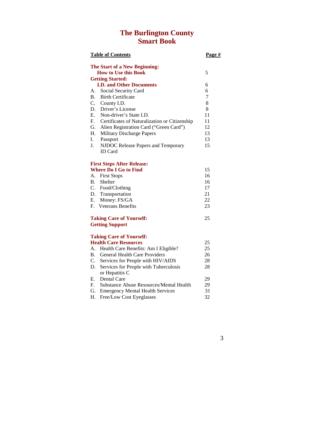## **The Burlington County Smart Book**

|                | <b>Table of Contents</b>                                     | Page # |
|----------------|--------------------------------------------------------------|--------|
|                | The Start of a New Beginning:<br><b>How to Use this Book</b> | 5      |
|                | <b>Getting Started:</b>                                      |        |
|                | <b>I.D. and Other Documents</b>                              | 6      |
| А.             | Social Security Card                                         | 6      |
| B <sub>1</sub> | <b>Birth Certificate</b>                                     | 7      |
|                | C. County I.D.                                               | 8      |
| D.             | Driver's License                                             | 8      |
| E.             | Non-driver's State I.D.                                      | 11     |
| F.             | Certificates of Naturalization or Citizenship                | 11     |
| G.             | Alien Registration Card ("Green Card")                       | 12     |
| Н.             | Military Discharge Papers                                    | 13     |
| I.             | Passport                                                     | 13     |
| J.             | NJDOC Release Papers and Temporary                           | 15     |
|                | <b>ID</b> Card                                               |        |
|                | <b>First Steps After Release:</b>                            |        |
|                | <b>Where Do I Go to Find</b>                                 | 15     |
| A.             | <b>First Stops</b>                                           | 16     |
|                | B. Shelter                                                   | 16     |
|                | C. Food/Clothing                                             | 17     |
|                | D. Transportation                                            | 21     |
|                | E. Money: FS/GA                                              | 22     |
| F.             | <b>Veterans Benefits</b>                                     | 23     |
|                | <b>Taking Care of Yourself:</b>                              | 25     |
|                | <b>Getting Support</b>                                       |        |
|                |                                                              |        |
|                | <b>Taking Care of Yourself:</b>                              |        |
|                | <b>Health Care Resources</b>                                 | 25     |
|                | A. Health Care Benefits: Am I Eligible?                      | 25     |
|                | B. General Health Care Providers                             | 26     |
|                | C. Services for People with HIV/AIDS                         | 28     |
| D.             | Services for People with Tuberculosis                        | 28     |
|                | or Hepatitis C                                               |        |

F. Substance Abuse Resources/Mental Health 29 G. Emergency Mental Health Services 31 H. Free/Low Cost Eyeglasses 32

E. Dental Care 29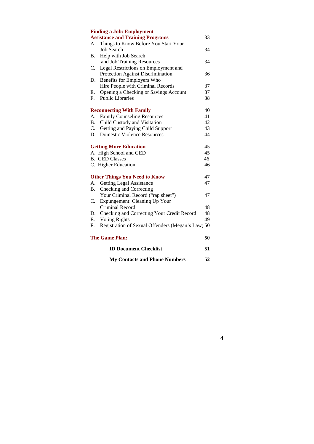|    | <b>Finding a Job: Employment</b>                  |    |
|----|---------------------------------------------------|----|
|    | <b>Assistance and Training Programs</b>           | 33 |
|    | A. Things to Know Before You Start Your           |    |
|    | <b>Job Search</b>                                 | 34 |
| B. | Help with Job Search                              |    |
|    | and Job Training Resources                        | 34 |
| C. | Legal Restrictions on Employment and              |    |
|    | Protection Against Discrimination                 | 36 |
| D. | Benefits for Employers Who                        |    |
|    | Hire People with Criminal Records                 | 37 |
| Е. | Opening a Checking or Savings Account             | 37 |
| F. | <b>Public Libraries</b>                           | 38 |
|    | <b>Reconnecting With Family</b>                   | 40 |
| A. | <b>Family Counseling Resources</b>                | 41 |
| B. | Child Custody and Visitation                      | 42 |
| C. | Getting and Paying Child Support                  | 43 |
| D. | <b>Domestic Violence Resources</b>                | 44 |
|    | <b>Getting More Education</b>                     | 45 |
|    | A. High School and GED                            | 45 |
|    | <b>B.</b> GED Classes                             | 46 |
|    | C. Higher Education                               | 46 |
|    | <b>Other Things You Need to Know</b>              | 47 |
| A. | <b>Getting Legal Assistance</b>                   | 47 |
| B. | Checking and Correcting                           |    |
|    | Your Criminal Record ("rap sheet")                | 47 |
| C. | Expungement: Cleaning Up Your                     |    |
|    | Criminal Record                                   | 48 |
| D. | Checking and Correcting Your Credit Record        | 48 |
| Е. | <b>Voting Rights</b>                              | 49 |
| F. | Registration of Sexual Offenders (Megan's Law) 50 |    |
|    | <b>The Game Plan:</b>                             | 50 |
|    | <b>ID Document Checklist</b>                      | 51 |
|    | <b>My Contacts and Phone Numbers</b>              | 52 |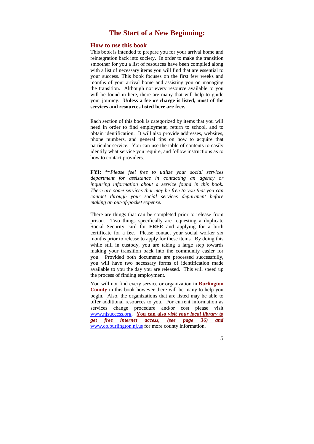## **The Start of a New Beginning:**

#### **How to use this book**

This book is intended to prepare you for your arrival home and reintegration back into society. In order to make the transition smoother for you a list of resources have been compiled along with a list of necessary items you will find that are essential to your success. This book focuses on the first few weeks and months of your arrival home and assisting you on managing the transition. Although not every resource available to you will be found in here, there are many that will help to guide your journey. **Unless a fee or charge is listed, most of the services and resources listed here are free.** 

Each section of this book is categorized by items that you will need in order to find employment, return to school, and to obtain identification. It will also provide addresses, websites, phone numbers, and general tips on how to acquire that particular service. You can use the table of contents to easily identify what service you require, and follow instructions as to how to contact providers.

**FYI:** \*\**Please feel free to utilize your social services department for assistance in contacting an agency or inquiring information about a service found in this book. There are some services that may be free to you that you can contact through your social services department before making an out-of-pocket expense.*

There are things that can be completed prior to release from prison. Two things specifically are requesting a duplicate Social Security card for **FREE** and applying for a birth certificate for a **fee**. Please contact your social worker six months prior to release to apply for these items. By doing this while still in custody, you are taking a large step towards making your transition back into the community easier for you. Provided both documents are processed successfully, you will have two necessary forms of identification made available to you the day you are released. This will speed up the process of finding employment.

You will not find every service or organization in **Burlington County** in this book however there will be many to help you begin. Also, the organizations that are listed may be able to offer additional resources to you. For current information as services change procedure and/or cost please visit www.njsuccess.org. **You can also** *visit your local library to get free internet access, (see page 36) and*  www.co.burlington.nj.us for more county information.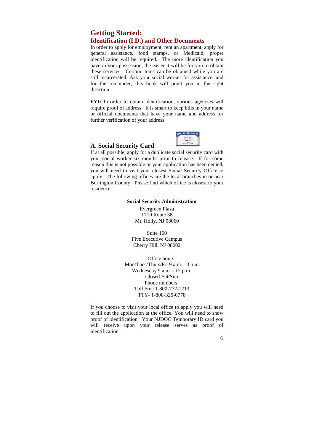## **Getting Started: Identification (I.D.) and Other Documents**

In order to apply for employment, rent an apartment, apply for general assistance, food stamps, or Medicaid, proper identification will be required. The more identification you have in your possession, the easier it will be for you to obtain these services. Certain items can be obtained while you are still incarcerated. Ask your social worker for assistance, and for the remainder, this book will point you in the right direction.

**FYI:** In order to obtain identification, various agencies will require proof of address. It is smart to keep bills in your name or official documents that have your name and address for further verification of your address.

ACIAL SECURITY

#### **A**. **Social Security Card**

Int If at all possible, apply for a duplicate social security card with your social worker six months prior to release. If for some reason this is not possible or your application has been denied, you will need to visit your closest Social Security Office to apply. The following offices are the local branches in or near Burlington County. Please find which office is closest to your residence.

#### **Social Security Administration**

Evergreen Plaza 1710 Route 38 Mt. Holly, NJ 08060

Suite 100 Five Executive Campus Cherry Hill, NJ 08002

Office hours: Mon/Tues/Thurs/Fri 9 a.m. - 3 p.m. Wednesday 9 a.m. - 12 p.m. Closed-Sat/Sun Phone numbers: Toll Free 1-800-772-1213 TTY- 1-800-325-0778

If you choose to visit your local office to apply you will need to fill out the application at the office. You will need to show proof of identification. Your NJDOC Temporary ID card you will receive upon your release serves as proof of identification.

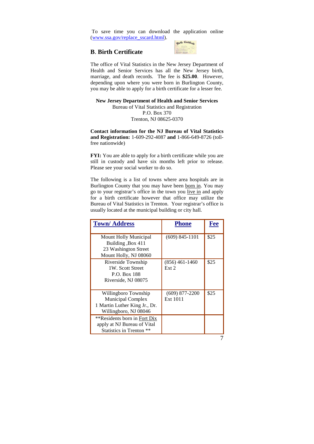To save time you can download the application online (www.ssa.gov/replace\_sscard.html).

#### **B**. **Birth Certificate**



The office of Vital Statistics in the New Jersey Department of Health and Senior Services has all the New Jersey birth, marriage, and death records. The fee is **\$25.00**. However, depending upon where you were born in Burlington County, you may be able to apply for a birth certificate for a lesser fee.

**New Jersey Department of Health and Senior Services** Bureau of Vital Statistics and Registration P.O. Box 370 Trenton, NJ 08625-0370

**Contact information for the NJ Bureau of Vital Statistics and Registration:** 1-609-292-4087 **and** 1-866-649-8726 (tollfree nationwide)

**FYI:** You are able to apply for a birth certificate while you are still in custody and have six months left prior to release. Please see your social worker to do so.

The following is a list of towns where area hospitals are in Burlington County that you may have been born in. You may go to your registrar's office in the town you live in and apply for a birth certificate however that office may utilize the Bureau of Vital Statistics in Trenton. Your registrar's office is usually located at the municipal building or city hall.

| <b>Town/Address</b>                                                                                        | <b>Phone</b>                 | Fee  |
|------------------------------------------------------------------------------------------------------------|------------------------------|------|
| Mount Holly Municipal<br>Building, Box 411<br>23 Washington Street<br>Mount Holly, NJ 08060                | $(609)$ 845-1101             | \$25 |
| Riverside Township<br>1W. Scott Street<br>P.O. Box 188<br>Riverside, NJ 08075                              | $(856)$ 461-1460<br>Ext 2    | \$25 |
| Willingboro Township<br><b>Municipal Complex</b><br>1 Martin Luther King Jr., Dr.<br>Willingboro, NJ 08046 | $(609)$ 877-2200<br>Ext 1011 | \$25 |
| **Residents born in Fort Dix<br>apply at NJ Bureau of Vital<br>Statistics in Trenton **                    |                              |      |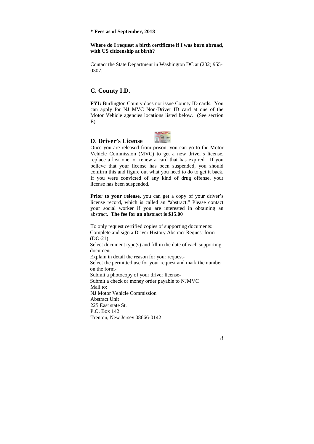#### **\* Fees as of September, 2018**

#### **Where do I request a birth certificate if I was born abroad, with US citizenship at birth?**

Contact the State Department in Washington DC at (202) 955- 0307.

## **C. County I.D.**

**FYI:** Burlington County does not issue County ID cards. You can apply for NJ MVC Non-Driver ID card at one of the Motor Vehicle agencies locations listed below. (See section E)

#### **D**. **Driver's License**



Prior to your release, you can get a copy of your driver's license record, which is called an "abstract." Please contact your social worker if you are interested in obtaining an abstract. **The fee for an abstract is \$15.00** 

To only request certified copies of supporting documents: Complete and sign a Driver History Abstract Request form (DO-21) Select document type(s) and fill in the date of each supporting document Explain in detail the reason for your request-Select the permitted use for your request and mark the number on the form-Submit a photocopy of your driver license-Submit a check or money order payable to NJMVC Mail to: NJ Motor Vehicle Commission Abstract Unit 225 East state St. P.O. Box 142 Trenton, New Jersey 08666-0142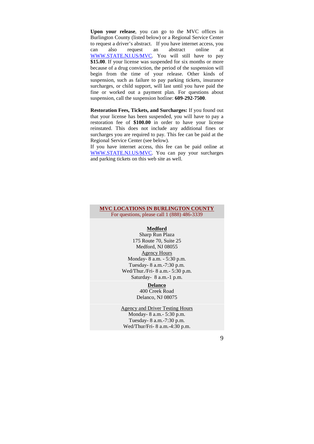**Upon your release**, you can go to the MVC offices in Burlington County (listed below) or a Regional Service Center to request a driver's abstract. If you have internet access, you can also request an abstract online at WWW.STATE.NJ.US/MVC. You will still have to pay \$15.00. If your license was suspended for six months or more because of a drug conviction, the period of the suspension will begin from the time of your release. Other kinds of suspension, such as failure to pay parking tickets, insurance surcharges, or child support, will last until you have paid the fine or worked out a payment plan. For questions about suspension, call the suspension hotline: **609-292-7500**.

**Restoration Fees, Tickets, and Surcharges:** If you found out that your license has been suspended, you will have to pay a restoration fee of **\$100.00** in order to have your license reinstated. This does not include any additional fines or surcharges you are required to pay. This fee can be paid at the Regional Service Center (see below).

If you have internet access, this fee can be paid online at WWW.STATE.NJ.US/MVC. You can pay your surcharges and parking tickets on this web site as well.

#### **MVC LOCATIONS IN BURLINGTON COUNTY**  For questions, please call 1 (888) 486-3339

## **Medford**

Sharp Run Plaza 175 Route 70, Suite 25 Medford, NJ 08055 Agency Hours Monday- 8 a.m. - 5:30 p.m. Tuesday- 8 a.m.-7:30 p.m. Wed/Thur./Fri- 8 a.m.- 5:30 p.m. Saturday- 8 a.m.-1 p.m.

#### **Delanco**

400 Creek Road Delanco, NJ 08075

#### Agency and Driver Testing Hours

Monday- 8 a.m.- 5:30 p.m. Tuesday- 8 a.m.-7:30 p.m. Wed/Thur/Fri- 8 a.m.-4:30 p.m.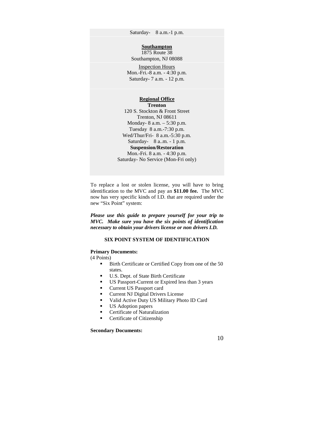Saturday- 8 a.m.-1 p.m.

#### **Southampton**

1875 Route 38 Southampton, NJ 08088 Inspection Hours Mon.-Fri.-8 a.m. - 4:30 p.m.

Saturday- 7 a.m. - 12 p.m.

#### **Regional Office Trenton**

120 S. Stockton & Front Street Trenton, NJ 08611 Monday- 8 a.m. – 5:30 p.m. Tuesday 8 a.m.-7:30 p.m. Wed/Thur/Fri- 8 a.m.-5:30 p.m. Saturday- 8 a..m. - 1 p.m. **Suspension/Restoration**  Mon.-Fri. 8 a.m. - 4:30 p.m. Saturday- No Service (Mon-Fri only)

To replace a lost or stolen license, you will have to bring identification to the MVC and pay an **\$11.00 fee.** The MVC now has very specific kinds of I.D. that are required under the new "Six Point" system:

*Please use this guide to prepare yourself for your trip to MVC. Make sure you have the six points of identification necessary to obtain your drivers license or non drivers I.D.* 

#### **SIX POINT SYSTEM OF IDENTIFICATION**

#### **Primary Documents:**

(4 Points)

- **Birth Certificate or Certified Copy from one of the 50** states.
- U.S. Dept. of State Birth Certificate
- US Passport-Current or Expired less than 3 years
- **Current US Passport card**
- **Current NJ Digital Drivers License**
- Valid Active Duty US Military Photo ID Card
- US Adoption papers
- **Certificate of Naturalization**
- Certificate of Citizenship

#### **Secondary Documents:**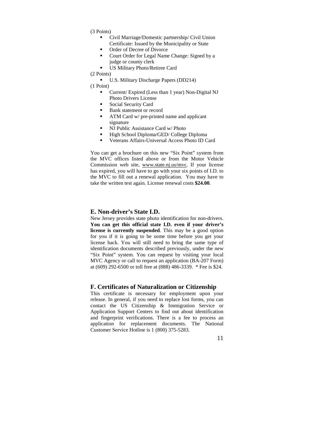- (3 Points)
	- Civil Marriage/Domestic partnership/ Civil Union Certificate: Issued by the Municipality or State
	- Order of Decree of Divorce
	- Court Order for Legal Name Change: Signed by a judge or county clerk
	- US Military Photo/Retiree Card

(2 Points)

U.S. Military Discharge Papers (DD214)

(1 Point)

- Current/ Expired (Less than 1 year) Non-Digital NJ Photo Drivers License
- Social Security Card
- Bank statement or record
- **ATM Card w/ pre-printed name and applicant** signature
- NJ Public Assistance Card w/ Photo
- High School Diploma/GED/ College Diploma
- Veterans Affairs-Universal Access Photo ID Card

You can get a brochure on this new "Six Point" system from the MVC offices listed above or from the Motor Vehicle Commission web site, www.state.nj.us/mvc. If your license has expired, you will have to go with your six points of I.D. to the MVC to fill out a renewal application. You may have to take the written test again. License renewal costs **\$24.00**.

#### **E. Non-driver's State I.D.**

New Jersey provides state photo identification for non-drivers. **You can get this official state I.D. even if your driver's license is currently suspended**. This may be a good option for you if it is going to be some time before you get your license back. You will still need to bring the same type of identification documents described previously, under the new "Six Point" system. You can request by visiting your local MVC Agency or call to request an application (BA-207 Form) at (609) 292-6500 or toll free at (888) 486-3339. \* Fee is \$24.

#### **F. Certificates of Naturalization or Citizenship**

This certificate is necessary for employment upon your release. In general, if you need to replace lost forms, you can contact the US Citizenship & Immigration Service or Application Support Centers to find out about identification and fingerprint verifications. There is a fee to process an application for replacement documents. The National Customer Service Hotline is 1 (800) 375-5283.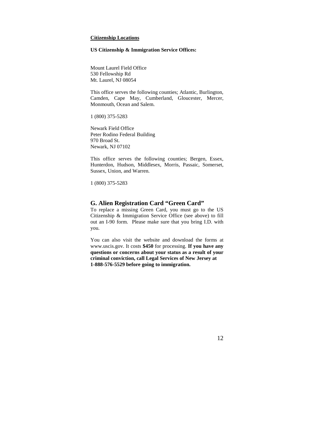#### **Citizenship Locations**

#### **US Citizenship & Immigration Service Offices:**

Mount Laurel Field Office 530 Fellowship Rd Mt. Laurel, NJ 08054

This office serves the following counties; Atlantic, Burlington, Camden, Cape May, Cumberland, Gloucester, Mercer, Monmouth, Ocean and Salem.

1 (800) 375-5283

Newark Field Office Peter Rodino Federal Building 970 Broad St. Newark, NJ 07102

This office serves the following counties; Bergen, Essex, Hunterdon, Hudson, Middlesex, Morris, Passaic, Somerset, Sussex, Union, and Warren.

1 (800) 375-5283

#### **G. Alien Registration Card "Green Card"**

To replace a missing Green Card, you must go to the US Citizenship & Immigration Service Office (see above) to fill out an I-90 form. Please make sure that you bring I.D. with you.

You can also visit the website and download the forms at www.uscis.gov. It costs **\$450** for processing. **If you have any questions or concerns about your status as a result of your criminal conviction, call Legal Services of New Jersey at 1-888-576-5529 before going to immigration.**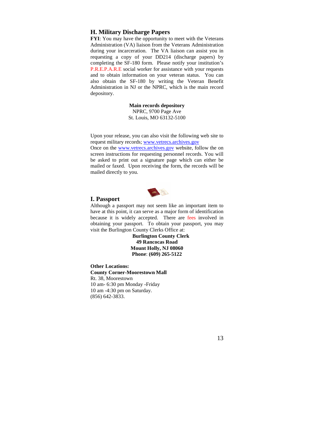#### **H. Military Discharge Papers**

**FYI:** You may have the opportunity to meet with the Veterans Administration (VA) liaison from the Veterans Administration during your incarceration. The VA liaison can assist you in requesting a copy of your DD214 (discharge papers) by completing the SF-180 form. Please notify your institution's P.R.E.P.A.R.E social worker for assistance with your requests and to obtain information on your veteran status. You can also obtain the SF-180 by writing the Veteran Benefit Administration in NJ or the NPRC, which is the main record depository.

> **Main records depository**  NPRC, 9700 Page Ave St. Louis, MO 63132-5100

Upon your release, you can also visit the following web site to request military records; www.vetrecs.archives.gov

Once on the www.vetrecs.archives.gov website, follow the on screen instructions for requesting personnel records. You will be asked to print out a signature page which can either be mailed or faxed. Upon receiving the form, the records will be mailed directly to you.



#### **I. Passport**

Although a passport may not seem like an important item to have at this point, it can serve as a major form of identification because it is widely accepted. There are fees involved in obtaining your passport. To obtain your passport, you may visit the Burlington County Clerks Office at:

> **Burlington County Clerk 49 Rancocas Road Mount Holly, NJ 08060 Phone**: **(609) 265-5122**

**Other Locations: County Corner-Moorestown Mall**  Rt. 38, Moorestown 10 am- 6:30 pm Monday -Friday 10 am -4:30 pm on Saturday. (856) 642-3833.

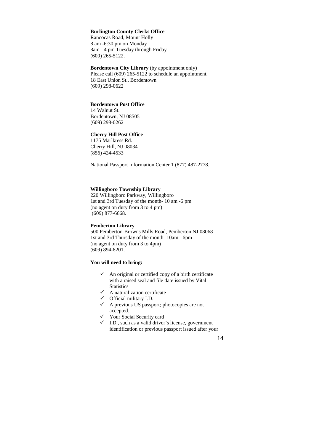#### **Burlington County Clerks Office**

Rancocas Road, Mount Holly 8 am -6:30 pm on Monday 8am - 4 pm Tuesday through Friday (609) 265-5122.

**Bordentown City Library** (by appointment only) Please call (609) 265-5122 to schedule an appointment. 18 East Union St., Bordentown (609) 298-0622

#### **Bordentown Post Office**

14 Walnut St. Bordentown, NJ 08505 (609) 298-0262

#### **Cherry Hill Post Office**

1175 Marlkress Rd. Cherry Hill, NJ 08034 (856) 424-4533

National Passport Information Center 1 (877) 487-2778.

#### **Willingboro Township Library**

220 Willingboro Parkway, Willingboro 1st and 3rd Tuesday of the month- 10 am -6 pm (no agent on duty from 3 to 4 pm) (609) 877-6668.

#### **Pemberton Library**

500 Pemberton-Browns Mills Road, Pemberton NJ 08068 1st and 3rd Thursday of the month- 10am - 6pm (no agent on duty from 3 to 4pm) (609) 894-8201.

#### **You will need to bring:**

- $\checkmark$  An original or certified copy of a birth certificate with a raised seal and file date issued by Vital **Statistics**
- $\checkmark$  A naturalization certificate
- Official military I.D.
- A previous US passport; photocopies are not accepted.
- Your Social Security card
- $\checkmark$  I.D., such as a valid driver's license, government identification or previous passport issued after your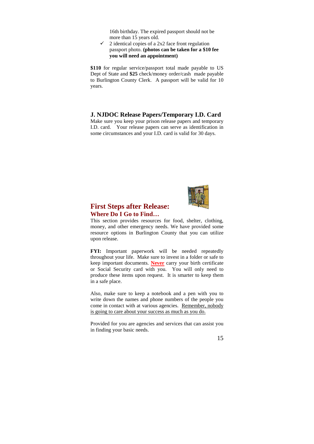16th birthday. The expired passport should not be more than 15 years old.

 $\checkmark$  2 identical copies of a 2x2 face front regulation passport photo. **(photos can be taken for a \$10 fee you will need an appointment)** 

**\$110** for regular service/passport total made payable to US Dept of State and **\$25** check/money order/cash made payable to Burlington County Clerk. A passport will be valid for 10 years.

**J. NJDOC Release Papers/Temporary I.D. Card** 

Make sure you keep your prison release papers and temporary I.D. card. Your release papers can serve as identification in some circumstances and your I.D. card is valid for 30 days.



## **First Steps after Release: Where Do I Go to Find…**

This section provides resources for food, shelter, clothing, money, and other emergency needs. We have provided some resource options in Burlington County that you can utilize upon release.

**FYI:** Important paperwork will be needed repeatedly throughout your life. Make sure to invest in a folder or safe to keep important documents. **Never** carry your birth certificate or Social Security card with you. You will only need to produce these items upon request. It is smarter to keep them in a safe place.

Also, make sure to keep a notebook and a pen with you to write down the names and phone numbers of the people you come in contact with at various agencies. Remember, nobody is going to care about your success as much as you do.

Provided for you are agencies and services that can assist you in finding your basic needs.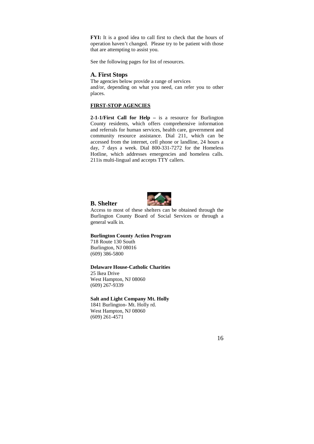**FYI:** It is a good idea to call first to check that the hours of operation haven't changed. Please try to be patient with those that are attempting to assist you.

See the following pages for list of resources.

#### **A. First Stops**

The agencies below provide a range of services and/or, depending on what you need, can refer you to other places.

#### **FIRST-STOP AGENCIES**

**2-1-1/First Call for Help –** is a resource for Burlington County residents, which offers comprehensive information and referrals for human services, health care, government and community resource assistance. Dial 211, which can be accessed from the internet, cell phone or landline, 24 hours a day, 7 days a week. Dial 800-331-7272 for the Homeless Hotline, which addresses emergencies and homeless calls. 211is multi-lingual and accepts TTY callers.



Access to most of these shelters can be obtained through the Burlington County Board of Social Services or through a general walk in.

#### **Burlington County Action Program**

718 Route 130 South Burlington, NJ 08016 (609) 386-5800

**B. Shelter** 

#### **Delaware House-Catholic Charities**

25 Ikea Drive West Hampton, NJ 08060 (609) 267-9339

#### **Salt and Light Company Mt. Holly**

1841 Burlington- Mt. Holly rd. West Hampton, NJ 08060 (609) 261-4571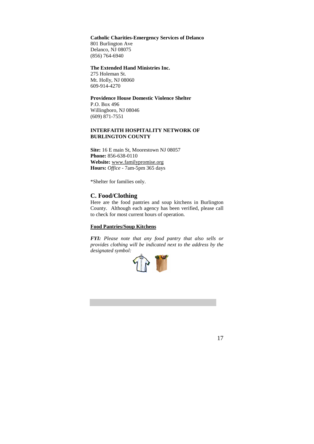#### **Catholic Charities-Emergency Services of Delanco**

801 Burlington Ave Delanco, NJ 08075 (856) 764-6940

#### **The Extended Hand Ministries Inc.**

275 Holeman St. Mt. Holly, NJ 08060 609-914-4270

## **Providence House Domestic Violence Shelter**

P.O. Box 496 Willingboro, NJ 08046 (609) 871-7551

#### **INTERFAITH HOSPITALITY NETWORK OF BURLINGTON COUNTY**

**Site:** 16 E main St, Moorestown NJ 08057 **Phone:** 856-638-0110 **Website:** www.familypromise.org **Hours:** *Office* - 7am-5pm 365 days

\*Shelter for families only.

#### **C. Food/Clothing**

Here are the food pantries and soup kitchens in Burlington County. Although each agency has been verified, please call to check for most current hours of operation.

#### **Food Pantries/Soup Kitchens**

*FYI: Please note that any food pantry that also sells or provides clothing will be indicated next to the address by the designated symbol:* 

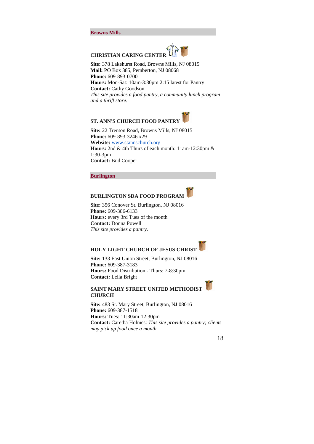#### **Browns Mills**



**Site:** 378 Lakehurst Road, Browns Mills, NJ 08015 **Mail:** PO Box 385, Pemberton, NJ 08068 **Phone:** 609-893-0700 **Hours:** Mon-Sat: 10am-3:30pm 2:15 latest for Pantry **Contact:** Cathy Goodson *This site provides a food pantry, a community lunch program and a thrift store.*

## **ST. ANN'S CHURCH FOOD PANTRY**

**Site:** 22 Trenton Road, Browns Mills, NJ 08015 **Phone:** 609-893-3246 x29 **Website:** www.stannschurch.org **Hours:** 2nd & 4th Thurs of each month: 11am-12:30pm & 1:30-3pm **Contact:** Bud Cooper

#### **Burlington**

## **BURLINGTON SDA FOOD PROGRAM**

**Site:** 356 Conover St. Burlington, NJ 08016 **Phone:** 609-386-6133 **Hours:** every 3rd Tues of the month **Contact:** Donna Powell *This site provides a pantry*.

## **HOLY LIGHT CHURCH OF JESUS CHRIST**

**Site:** 133 East Union Street, Burlington, NJ 08016 **Phone:** 609-387-3183 **Hours:** Food Distribution - Thurs: 7-8:30pm **Contact:** Leila Bright

#### **SAINT MARY STREET UNITED METHODIST CHURCH**

**Site:** 483 St. Mary Street, Burlington, NJ 08016 **Phone:** 609-387-1518 **Hours:** Tues: 11:30am-12:30pm **Contact:** Caretha Holmes: *This site provides a pantry; clients may pick up food once a month.*

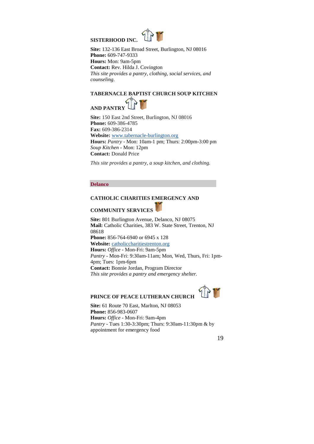

**Site:** 132-136 East Broad Street, Burlington, NJ 08016 **Phone:** 609-747-9333 **Hours:** Mon: 9am-5pm **Contact:** Rev. Hilda J. Covington *This site provides a pantry, clothing, social services, and counseling*.

## **TABERNACLE BAPTIST CHURCH SOUP KITCHEN**



**Site:** 150 East 2nd Street, Burlington, NJ 08016 **Phone:** 609-386-4785 **Fax:** 609-386-2314 **Website:** www.tabernacle-burlington.org **Hours:** *Pantry* - Mon: 10am-1 pm; Thurs: 2:00pm-3:00 pm *Soup Kitchen* - Mon: 12pm **Contact:** Donald Price

*This site provides a pantry, a soup kitchen, and clothing.*

#### **Delanco**

#### **CATHOLIC CHARITIES EMERGENCY AND**

## **COMMUNITY SERVICES**

**Site:** 801 Burlington Avenue, Delanco, NJ 08075 **Mail:** Catholic Charities, 383 W. State Street, Trenton, NJ 08618 **Phone:** 856-764-6940 or 6945 x 128 **Website:** catholiccharitiestrenton.org **Hours:** *Office* - Mon-Fri: 9am-5pm *Pantry* - Mon-Fri: 9:30am-11am; Mon, Wed, Thurs, Fri: 1pm-4pm; Tues: 1pm-6pm **Contact:** Bonnie Jordan, Program Director *This site provides a pantry and emergency shelter.*

## 97 **PRINCE OF PEACE LUTHERAN CHURCH**

**Site:** 61 Route 70 East, Marlton, NJ 08053 **Phone:** 856-983-0607 **Hours:** *Office* - Mon-Fri: 9am-4pm *Pantry* - Tues 1:30-3:30pm; Thurs: 9:30am-11:30pm & by appointment for emergency food

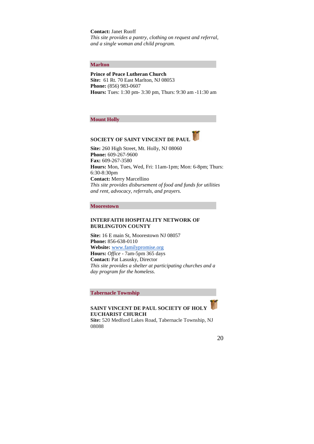#### **Contact:** Janet Ruoff

*This site provides a pantry, clothing on request and referral, and a single woman and child program.* 

#### **Marlton**

**Prince of Peace Lutheran Church Site:** 61 Rt. 70 East Marlton, NJ 08053 **Phone:** (856) 983-0607 **Hours:** Tues: 1:30 pm- 3:30 pm, Thurs: 9:30 am -11:30 am

**Mount Holly** 

## **SOCIETY OF SAINT VINCENT DE PAUL**

**Site:** 260 High Street, Mt. Holly, NJ 08060 **Phone:** 609-267-9600 **Fax:** 609-267-3580 **Hours:** Mon, Tues, Wed, Fri: 11am-1pm; Mon: 6-8pm; Thurs: 6:30-8:30pm **Contact:** Merry Marcellino *This site provides disbursement of food and funds for utilities and rent, advocacy, referrals, and prayers.*

#### **Moorestown**

#### **INTERFAITH HOSPITALITY NETWORK OF BURLINGTON COUNTY**

**Site:** 16 E main St, Moorestown NJ 08057 **Phone:** 856-638-0110 **Website:** www.familypromise.org **Hours:** *Office* - 7am-5pm 365 days **Contact:** Pat Lasusky, Director *This site provides a shelter at participating churches and a day program for the homeless.*

**Tabernacle Township** 

**SAINT VINCENT DE PAUL SOCIETY OF HOLY EUCHARIST CHURCH**

**Site:** 520 Medford Lakes Road, Tabernacle Township, NJ 08088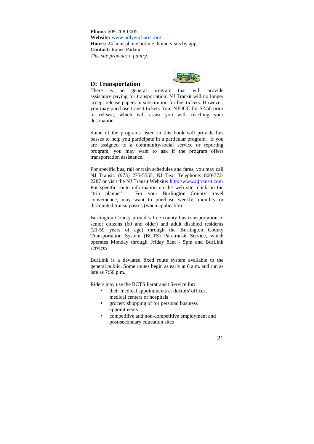**Phone:** 609-268-0005 **Website:** www.holyeucharist.org **Hours:** 24 hour phone hotline, home visits by appt **Contact:** Ranee Padano *This site provides a pantry.*

#### **D: Transportation**



There is no general program that will provide assistance paying for transportation. NJ Transit will no longer accept release papers in substitution for bus tickets. However, you may purchase transit tickets from NJDOC for \$2.50 prior to release, which will assist you with reaching your destination.

Some of the programs listed in this book will provide bus passes to help you participate in a particular program. If you are assigned to a community/social service or reporting program, you may want to ask if the program offers transportation assistance.

For specific bus, rail or train schedules and fares, you may call NJ Transit: (973) 275-5555, NJ Text Telephone: 800-772- 2287 or visit the NJ Transit Website: http://www.njtransit.com For specific route information on the web site, click on the "trip planner". For your Burlington County travel convenience, may want to purchase weekly, monthly or discounted transit passes (when applicable).

Burlington County provides free county bus transportation to senior citizens (60 and older) and adult disabled residents (21-59 years of age) through the Burlington County Transportation System (BCTS) Paratransit Service, which operates Monday through Friday 8am - 5pm and BurLink services.

BurLink is a deviated fixed route system available to the general public. Some routes begin as early at 6 a.m. and run as late as 7:50 p.m.

Riders may use the BCTS Paratransit Service for:

- their medical appointments at doctors' offices, medical centers or hospitals
- grocery shopping of for personal business appointments
- competitive and non-competitive employment and post-secondary education sites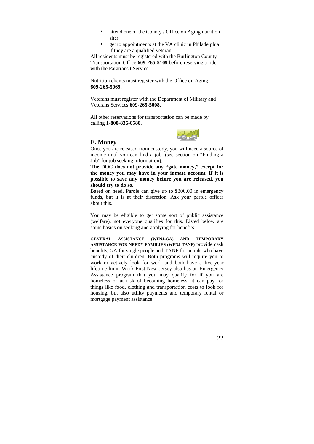- attend one of the County's Office on Aging nutrition sites
- get to appointments at the VA clinic in Philadelphia if they are a qualified veteran .

All residents must be registered with the Burlington County Transportation Office **609-265-5109** before reserving a ride with the Paratransit Service.

Nutrition clients must register with the Office on Aging **609-265-5069.**

Veterans must register with the Department of Military and Veterans Services **609-265-5008.** 

All other reservations for transportation can be made by calling **1-800-836-0580.**



#### **E. Money**

Once you are released from custody, you will need a source of income until you can find a job. (see section on "Finding a Job" for job seeking information).

**The DOC does not provide any "gate money," except for the money you may have in your inmate account. If it is possible to save any money before you are released, you should try to do so.** 

Based on need, Parole can give up to \$300.00 in emergency funds, but it is at their discretion. Ask your parole officer about this.

You may be eligible to get some sort of public assistance (welfare), not everyone qualifies for this. Listed below are some basics on seeking and applying for benefits.

**GENERAL ASSISTANCE (WFNJ-GA) AND TEMPORARY ASSISTANCE FOR NEEDY FAMILIES (WFNJ-TANF)** provide cash benefits, GA for single people and TANF for people who have custody of their children. Both programs will require you to work or actively look for work and both have a five-year lifetime limit. Work First New Jersey also has an Emergency Assistance program that you may qualify for if you are homeless or at risk of becoming homeless: it can pay for things like food, clothing and transportation costs to look for housing, but also utility payments and temporary rental or mortgage payment assistance.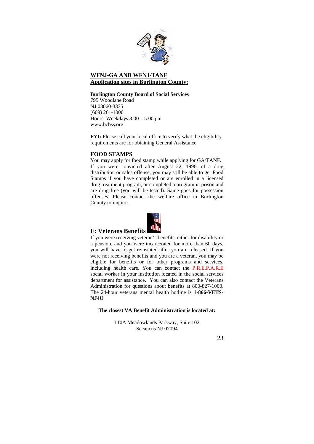

## **WFNJ-GA AND WFNJ-TANF Application sites in Burlington County:**

#### **Burlington County Board of Social Services**

795 Woodlane Road NJ 08060-3335 (609) 261-1000 Hours: Weekdays 8:00 – 5:00 pm www.bcbss.org

**FYI:** Please call your local office to verify what the eligibility requirements are for obtaining General Assistance

#### **FOOD STAMPS**

You may apply for food stamp while applying for GA/TANF. If you were convicted after August 22, 1996, of a drug distribution or sales offense, you may still be able to get Food Stamps if you have completed or are enrolled in a licensed drug treatment program, or completed a program in prison and are drug free (you will be tested). Same goes for possession offenses. Please contact the welfare office in Burlington County to inquire.



#### **F: Veterans Benefits**

If you were receiving veteran's benefits, either for disability or a pension, and you were incarcerated for more than 60 days, you will have to get reinstated after you are released. If you were not receiving benefits and you are a veteran, you may be eligible for benefits or for other programs and services, including health care. You can contact the P.R.E.P.A.R.E social worker in your institution located in the social services department for assistance. You can also contact the Veterans Administration for questions about benefits at 800-827-1000. The 24-hour veterans mental health hotline is **1-866-VETS-NJ4U**.

#### **The closest VA Benefit Administration is located at:**

110A Meadowlands Parkway, Suite 102 Secaucus NJ 07094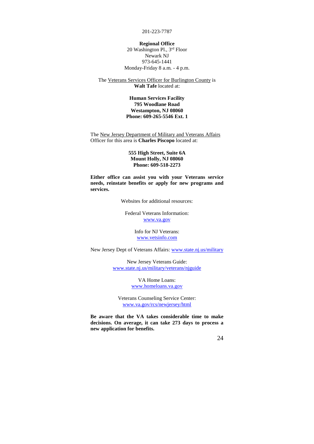201-223-7787

#### **Regional Office**

20 Washington Pl., 3rd Floor Newark NJ 973-645-1441 Monday-Friday 8 a.m. - 4 p.m.

#### The Veterans Services Officer for Burlington County is **Walt Tafe** located at:

#### **Human Services Facility 795 Woodlane Road Westampton, NJ 08060 Phone: 609-265-5546 Ext. 1**

The New Jersey Department of Military and Veterans Affairs Officer for this area is **Charles Piscopo** located at:

#### **555 High Street, Suite 6A Mount Holly, NJ 08060 Phone: 609-518-2273**

**Either office can assist you with your Veterans service needs, reinstate benefits or apply for new programs and services.**

Websites for additional resources:

Federal Veterans Information: www.va.gov

> Info for NJ Veterans: www.vetsinfo.com

New Jersey Dept of Veterans Affairs: www.state.nj.us/military

New Jersey Veterans Guide: www.state.nj.us/military/veterans/njguide

> VA Home Loans: www.homeloans.va.gov

Veterans Counseling Service Center: www.va.gov/rcs/newjersey/html

**Be aware that the VA takes considerable time to make decisions. On average, it can take 273 days to process a new application for benefits.**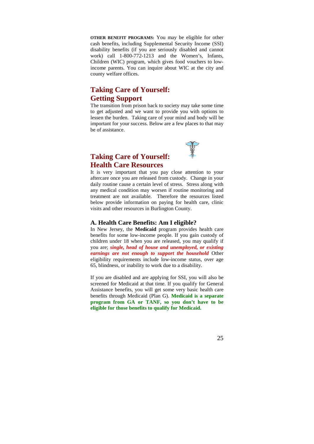**OTHER BENEFIT PROGRAMS:** You may be eligible for other cash benefits, including Supplemental Security Income (SSI) disability benefits (if you are seriously disabled and cannot work) call 1-800-772-1213 and the Women's, Infants, Children (WIC) program, which gives food vouchers to lowincome parents. You can inquire about WIC at the city and county welfare offices.

## **Taking Care of Yourself: Getting Support**

The transition from prison back to society may take some time to get adjusted and we want to provide you with options to lessen the burden. Taking care of your mind and body will be important for your success. Below are a few places to that may be of assistance.



## **Taking Care of Yourself: Health Care Resources**

It is very important that you pay close attention to your aftercare once you are released from custody. Change in your daily routine cause a certain level of stress. Stress along with any medical condition may worsen if routine monitoring and treatment are not available. Therefore the resources listed below provide information on paying for health care, clinic visits and other resources in Burlington County.

#### **A. Health Care Benefits: Am I eligible?**

In New Jersey, the **Medicaid** program provides health care benefits for some low-income people. If you gain custody of children under 18 when you are released, you may qualify if you are; *single, head of house and unemployed, or existing earnings are not enough to support the household* Other eligibility requirements include low-income status, over age 65, blindness, or inability to work due to a disability.

If you are disabled and are applying for SSI, you will also be screened for Medicaid at that time. If you qualify for General Assistance benefits, you will get some very basic health care benefits through Medicaid (Plan G). **Medicaid is a separate program from GA or TANF, so you don't have to be eligible for those benefits to qualify for Medicaid.**

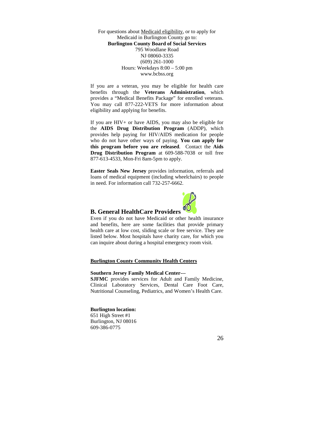For questions about Medicaid eligibility, or to apply for Medicaid in Burlington County go to: **Burlington County Board of Social Services**  795 Woodlane Road NJ 08060-3335 (609) 261-1000 Hours: Weekdays 8:00 – 5:00 pm www.bcbss.org

If you are a veteran, you may be eligible for health care benefits through the **Veterans Administration**, which provides a "Medical Benefits Package" for enrolled veterans. You may call 877-222-VETS for more information about eligibility and applying for benefits.

If you are HIV+ or have AIDS, you may also be eligible for the **AIDS Drug Distribution Program** (ADDP), which provides help paying for HIV/AIDS medication for people who do not have other ways of paying. **You can apply for this program before you are released**. Contact the **Aids Drug Distribution Program** at 609-588-7038 or toll free 877-613-4533, Mon-Fri 8am-5pm to apply.

**Easter Seals New Jersey** provides information, referrals and loans of medical equipment (including wheelchairs) to people in need. For information call 732-257-6662.



#### **B. General HealthCare Providers**

Even if you do not have Medicaid or other health insurance and benefits, here are some facilities that provide primary health care at low cost, sliding scale or free service. They are listed below. Most hospitals have charity care, for which you can inquire about during a hospital emergency room visit.

#### **Burlington County Community Health Centers**

#### **Southern Jersey Family Medical Center---**

**SJFMC** provides services for Adult and Family Medicine, Clinical Laboratory Services, Dental Care Foot Care, Nutritional Counseling, Pediatrics, and Women's Health Care.

#### **Burlington location:**

651 High Street #1 Burlington, NJ 08016 609-386-0775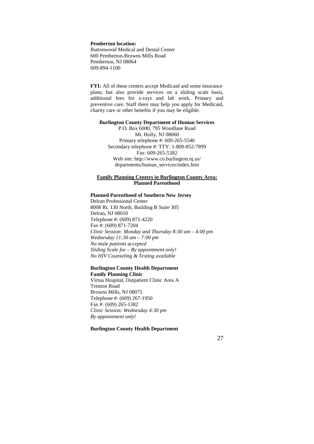#### **Pemberton location:**

Buttonwood Medical and Dental Center 600 Pemberton-Browns Mills Road Pemberton, NJ 08064 609-894-1100

**FYI:** All of these centers accept Medicaid and some insurance plans, but also provide services on a sliding scale basis, additional fees for x-rays and lab work. Primary and preventive care. Staff there may help you apply for Medicaid, charity care or other benefits if you may be eligible.

#### **Burlington County Department of Human Services**

P.O. Box 6000, 795 Woodlane Road Mt. Holly, NJ 08060 Primary telephone #: 609-265-5546 Secondary telephone #: TTY: 1-800-852-7899 Fax: 609-265-5382 Web site: http://www.co.burlington.nj.us/ departments/human\_services/index.htm

#### **Family Planning Centers in Burlington County Area: Planned Parenthood**

#### **Planned Parenthood of Southern New Jersey**

Delran Professional Center 8008 Rt. 130 North, Building B Suite 305 Delran, NJ 08010 Telephone #: (609) 871-4220 Fax #: (609) 871-7204 *Clinic Session: Monday and Thursday 8:30 am – 4:00 pm Wednesday 11:30 am – 7:00 pm No male patients accepted Sliding Scale fee – By appointment only! No HIV Counseling & Testing available* 

#### **Burlington County Health Department Family Planning Clinic**

Virtua Hospital, Outpatient Clinic Area A Trenton Road Browns Mills, NJ 08075 Telephone #: (609) 267-1950 Fax #: (609) 265-1382 *Clinic Session: Wednesday 4:30 pm By appointment only!* 

#### **Burlington County Health Department**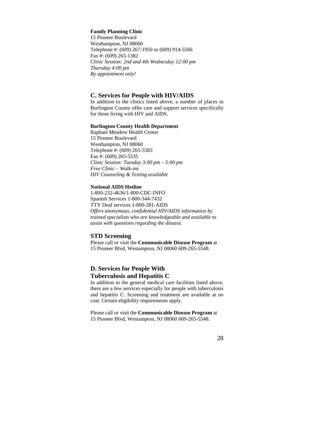#### **Family Planning Clinic**

15 Pioneer Boulevard Westhampton, NJ 08060 Telephone #: (609) 267-1950 or (609) 914-5566 Fax #: (609) 265-1382 *Clinic Session: 2nd and 4th Wednesday 12:00 pm Thursday 4:00 pm By appointment only!* 

#### **C. Services for People with HIV/AIDS**

In addition to the clinics listed above, a number of places in Burlington County offer care and support services specifically for those living with HIV and AIDS.

#### **Burlington County Health Department**

Raphael Meadow Health Center 15 Pioneer Boulevard Westhampton, NJ 08060 Telephone #: (609) 265-5583 Fax #: (609) 265-5535 *Clinic Session: Tuesday 3:00 pm – 5:00 pm Free Clinic – Walk-ins HIV Counseling & Testing available* 

#### **National AIDS Hotline**

1-800-232-4636/1-800-CDC-INFO Spanish Services 1-800-344-7432 TTY Deaf services 1-800-281-AIDS *Offers anonymous, confidential HIV/AIDS information by trained specialists who are knowledgeable and available to assist with questions regarding the disease.* 

#### **STD Screening**

Please call or visit the **Communicable Disease Program** at 15 Pioneer Blvd, Westampton, NJ 08060 609-265-5548.

## **D. Services for People With Tuberculosis and Hepatitis C**

In addition to the general medical care facilities listed above, there are a few services especially for people with tuberculosis and hepatitis C. Screening and treatment are available at no cost. Certain eligibility requirements apply.

Please call or visit the **Communicable Disease Program** at 15 Pioneer Blvd, Westampton, NJ 08060 609-265-5548.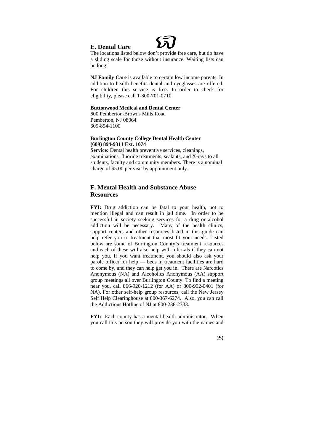## **E. Dental Care**

The locations listed below don't provide free care, but do have a sliding scale for those without insurance. Waiting lists can be long.

**NJ Family Care** is available to certain low income parents. In addition to health benefits dental and eyeglasses are offered. For children this service is free. In order to check for eligibility, please call 1-800-701-0710

#### **Buttonwood Medical and Dental Center**

600 Pemberton-Browns Mills Road Pemberton, NJ 08064 609-894-1100

#### **Burlington County College Dental Health Center (609) 894-9311 Ext. 1074**

Service: Dental health preventive services, cleanings, examinations, fluoride treatments, sealants, and X-rays to all students, faculty and community members. There is a nominal charge of \$5.00 per visit by appointment only.

## **F. Mental Health and Substance Abuse Resources**

**FYI:** Drug addiction can be fatal to your health, not to mention illegal and can result in jail time. In order to be successful in society seeking services for a drug or alcohol addiction will be necessary. Many of the health clinics, support centers and other resources listed in this guide can help refer you to treatment that most fit your needs. Listed below are some of Burlington County's treatment resources and each of these will also help with referrals if they can not help you. If you want treatment, you should also ask your parole officer for help — beds in treatment facilities are hard to come by, and they can help get you in. There are Narcotics Anonymous (NA) and Alcoholics Anonymous (AA) support group meetings all over Burlington County. To find a meeting near you, call 866-920-1212 (for AA) or 800-992-0401 (for NA). For other self-help group resources, call the New Jersey Self Help Clearinghouse at 800-367-6274. Also, you can call the Addictions Hotline of NJ at 800-238-2333.

**FYI:** Each county has a mental health administrator. When you call this person they will provide you with the names and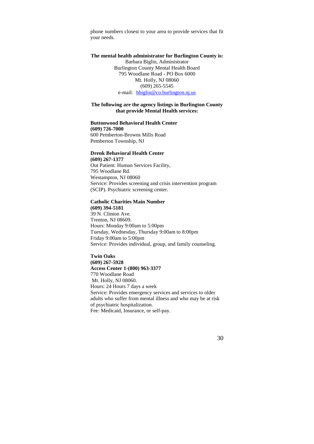phone numbers closest to your area to provide services that fit your needs.

**The mental health administrator for Burlington County is:**  Barbara Biglin, Administrator Burlington County Mental Health Board 795 Woodlane Road - PO Box 6000 Mt. Holly, NJ 08060 (609) 265-5545 e-mail: bbiglin@co.burlington.nj.us

#### **The following are the agency listings in Burlington County that provide Mental Health services:**

#### **Buttonwood Behavioral Health Center**

**(609) 726-7000** 600 Pemberton-Browns Mills Road Pemberton Township, NJ

#### **Drenk Behavioral Health Center**

**(609) 267-1377**  Out Patient: Human Services Facility, 795 Woodlane Rd. Westampton, NJ 08060 Service: Provides screening and crisis intervention program (SCIP). Psychiatric screening center.

#### **Catholic Charities Main Number**

**(609) 394-5181**  39 N. Clinton Ave. Trenton, NJ 08609. Hours: Monday 9:00am to 5:00pm Tuesday, Wednesday, Thursday 9:00am to 8:00pm Friday 9:00am to 5:00pm Service: Provides individual, group, and family counseling.

**Twin Oaks (609) 267-5928 Access Center 1-(800) 963-3377**  770 Woodlane Road Mt. Holly, NJ 08060. Hours: 24 Hours 7 days a week Service: Provides emergency services and services to older adults who suffer from mental illness and who may be at risk of psychiatric hospitalization. Fee: Medicaid, Insurance, or self-pay.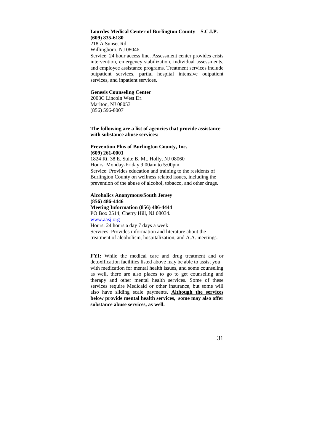#### **Lourdes Medical Center of Burlington County – S.C.I.P. (609) 835-6180**

218 A Sunset Rd. Willingboro, NJ 08046.

Service: 24 hour access line. Assessment center provides crisis intervention, emergency stabilization, individual assessments, and employee assistance programs. Treatment services include outpatient services, partial hospital intensive outpatient services, and inpatient services.

#### **Genesis Counseling Center**

2003C Lincoln West Dr. Marlton, NJ 08053 (856) 596-8007

#### **The following are a list of agencies that provide assistance with substance abuse services:**

#### **Prevention Plus of Burlington County, Inc. (609) 261-0001**

1824 Rt. 38 E. Suite B, Mt. Holly, NJ 08060 Hours: Monday-Friday 9:00am to 5:00pm Service: Provides education and training to the residents of Burlington County on wellness related issues, including the prevention of the abuse of alcohol, tobacco, and other drugs.

#### **Alcoholics Anonymous/South Jersey (856) 486-4446 Meeting Information (856) 486-4444**

PO Box 2514, Cherry Hill, NJ 08034.

www.aasj.org Hours: 24 hours a day 7 days a week Services: Provides information and literature about the treatment of alcoholism, hospitalization, and A.A. meetings.

FYI: While the medical care and drug treatment and or detoxification facilities listed above may be able to assist you with medication for mental health issues, and some counseling as well, there are also places to go to get counseling and therapy and other mental health services. Some of these services require Medicaid or other insurance, but some will also have sliding scale payments. **Although the services below provide mental health services, some may also offer substance abuse services, as well.**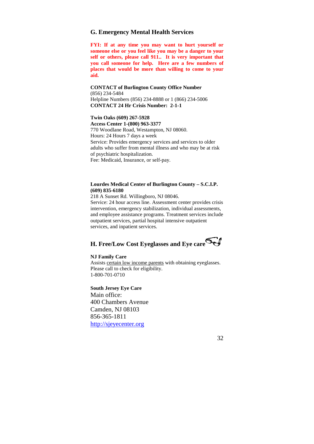#### **G. Emergency Mental Health Services**

**FYI: If at any time you may want to hurt yourself or someone else or you feel like you may be a danger to your self or others, please call 911.. It is very important that you call someone for help. Here are a few numbers of places that would be more than willing to come to your aid.**

**CONTACT of Burlington County Office Number**  (856) 234-5484 Helpline Numbers (856) 234-8888 or 1 (866) 234-5006 **CONTACT 24 Hr Crisis Number: 2-1-1** 

**Twin Oaks (609) 267-5928 Access Center 1-(800) 963-3377**  770 Woodlane Road, Westampton, NJ 08060. Hours: 24 Hours 7 days a week Service: Provides emergency services and services to older adults who suffer from mental illness and who may be at risk of psychiatric hospitalization. Fee: Medicaid, Insurance, or self-pay.

#### **Lourdes Medical Center of Burlington County – S.C.I.P. (609) 835-6180**

218 A Sunset Rd. Willingboro, NJ 08046. Service: 24 hour access line. Assessment center provides crisis intervention, emergency stabilization, individual assessments, and employee assistance programs. Treatment services include outpatient services, partial hospital intensive outpatient services, and inpatient services.

## **H. Free/Low Cost Eyeglasses and Eye care**

#### **NJ Family Care**

Assists certain low income parents with obtaining eyeglasses. Please call to check for eligibility. 1-800-701-0710

**South Jersey Eye Care**  Main office:

400 Chambers Avenue Camden, NJ 08103 856-365-1811 http://sjeyecenter.org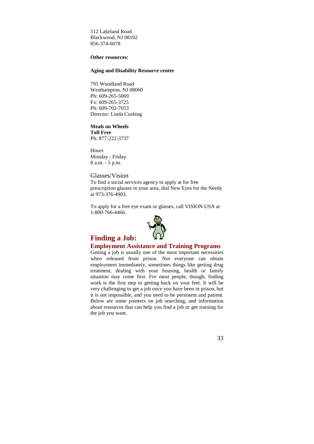512 Lakeland Road Blackwood, NJ 08102 856-374-6078

#### **Other resources:**

#### **Aging and Disability Resource center**

795 Woodland Road Westhampton, NJ 08060 Ph: 609-265-5069 Fx: 609-265-3725 Ph: 609-702-7053 Director: Linda Cushing

## **Meals on Wheels**

**Toll Free** Ph: 877-222-3737

Hours Monday - Friday 8 a.m. - 5 p.m.

#### Glasses/Vision

To find a social services agency to apply at for free prescription glasses in your area, dial New Eyes for the Needy at 973-376-4903.

To apply for a free eye exam or glasses, call VISION USA at 1-800-766-4466.



#### **Finding a Job: Employment Assistance and Training Programs**

Getting a job is usually one of the most important necessities when released from prison. Not everyone can obtain employment immediately, sometimes things like getting drug treatment, dealing with your housing, health or family situation may come first. For most people, though, finding work is the first step to getting back on your feet. It will be very challenging to get a job once you have been in prison, but it is not impossible, and you need to be persistent and patient. Below are some pointers on job searching, and information about resources that can help you find a job or get training for the job you want.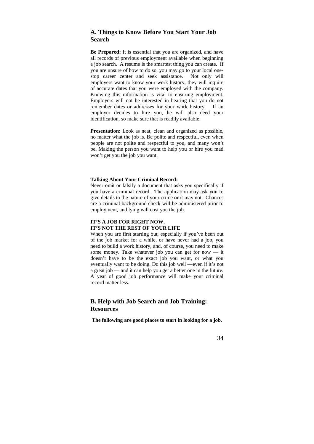## **A. Things to Know Before You Start Your Job Search**

**Be Prepared:** It is essential that you are organized, and have all records of previous employment available when beginning a job search. A resume is the smartest thing you can create. If you are unsure of how to do so, you may go to your local onestop career center and seek assistance. Not only will employers want to know your work history, they will inquire of accurate dates that you were employed with the company. Knowing this information is vital to ensuring employment. Employers will not be interested in hearing that you do not remember dates or addresses for your work history. If an employer decides to hire you, he will also need your identification, so make sure that is readily available.

Presentation: Look as neat, clean and organized as possible, no matter what the job is. Be polite and respectful, even when people are not polite and respectful to you, and many won't be. Making the person you want to help you or hire you mad won't get you the job you want.

#### **Talking About Your Criminal Record:**

Never omit or falsify a document that asks you specifically if you have a criminal record. The application may ask you to give details to the nature of your crime or it may not. Chances are a criminal background check will be administered prior to employment, and lying will cost you the job.

#### **IT'S A JOB FOR RIGHT NOW, IT'S NOT THE REST OF YOUR LIFE**

When you are first starting out, especially if you've been out of the job market for a while, or have never had a job, you need to build a work history, and, of course, you need to make some money. Take whatever job you can get for now — it doesn't have to be the exact job you want, or what you eventually want to be doing. Do this job well —even if it's not a great job — and it can help you get a better one in the future. A year of good job performance will make your criminal record matter less.

#### **B. Help with Job Search and Job Training: Resources**

**The following are good places to start in looking for a job.**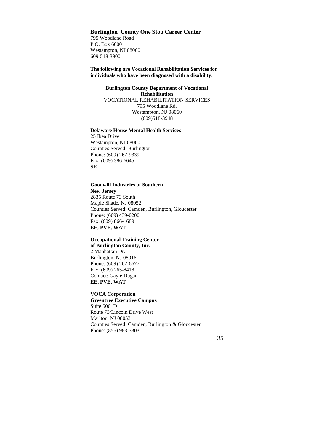### **Burlington County One Stop Career Center**

795 Woodlane Road P.O. Box 6000 Westampton, NJ 08060 609-518-3900

**The following are Vocational Rehabilitation Services for individuals who have been diagnosed with a disability.** 

> **Burlington County Department of Vocational Rehabilitation**  VOCATIONAL REHABILITATION SERVICES 795 Woodlane Rd. Westampton, NJ 08060 (609)518-3948

#### **Delaware House Mental Health Services**

25 Ikea Drive Westampton, NJ 08060 Counties Served: Burlington Phone: (609) 267-9339 Fax: (609) 386-6645 **SE** 

#### **Goodwill Industries of Southern**

**New Jersey** 2835 Route 73 South Maple Shade, NJ 08052 Counties Served: Camden, Burlington, Gloucester Phone: (609) 439-0200 Fax: (609) 866-1689 **EE, PVE, WAT** 

## **Occupational Training Center of Burlington County, Inc.**

2 Manhattan Dr. Burlington, NJ 08016 Phone: (609) 267-6677 Fax: (609) 265-8418 Contact: Gayle Dugan **EE, PVE, WAT** 

#### **VOCA Corporation**

**Greentree Executive Campus** Suite 5001D Route 73/Lincoln Drive West Marlton, NJ 08053 Counties Served: Camden, Burlington & Gloucester Phone: (856) 983-3303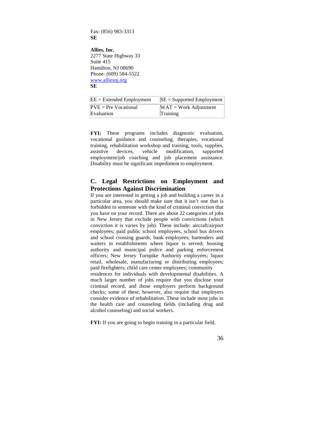Fax: (856) 983-3313 **SE** 

**Allies, Inc.** 2277 State Highway 33 Suite 415 Hamilton, NJ 08690 Phone: (609) 584-5522 www.alliesnj.org **SE** 

| $EE = Extended Employment$ | $ SE =$ Supported Employment |
|----------------------------|------------------------------|
| $PVE = Pre Vocational$     | $WAT = Work$ Adjustment      |
| Evaluation                 | Training                     |

**FYI:** These programs includes diagnostic evaluation, vocational guidance and counseling, therapies, vocational training, rehabilitation workshop and training, tools, supplies, assistive devices, vehicle modification, supported employment/job coaching and job placement assistance. Disability must be significant impediment to employment.

### **C. Legal Restrictions on Employment and Protections Against Discrimination**

If you are interested in getting a job and building a career in a particular area, you should make sure that it isn't one that is forbidden to someone with the kind of criminal conviction that you have on your record. There are about 22 categories of jobs in New Jersey that exclude people with convictions (which conviction it is varies by job). These include: aircraft/airport employees; paid public school employees, school bus drivers and school crossing guards; bank employees; bartenders and waiters in establishments where liquor is served; housing authority and municipal police and parking enforcement officers; New Jersey Turnpike Authority employees; liquor retail, wholesale, manufacturing or distributing employees; paid firefighters; child care center employees; community residences for individuals with developmental disabilities. A much larger number of jobs require that you disclose your criminal record, and those employers perform background checks; some of these, however, also require that employers consider evidence of rehabilitation. These include most jobs in the health care and counseling fields (including drug and

**FYI:** If you are going to begin training in a particular field,

alcohol counseling) and social workers.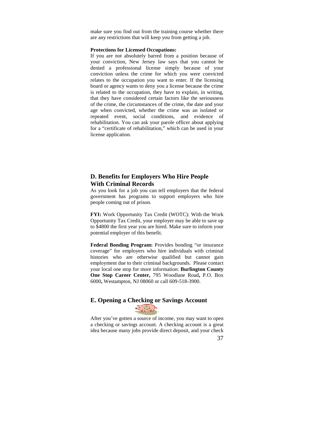make sure you find out from the training course whether there are any restrictions that will keep you from getting a job.

#### **Protections for Licensed Occupations:**

If you are not absolutely barred from a position because of your conviction, New Jersey law says that you cannot be denied a professional license simply because of your conviction unless the crime for which you were convicted relates to the occupation you want to enter. If the licensing board or agency wants to deny you a license because the crime is related to the occupation, they have to explain, in writing, that they have considered certain factors like the seriousness of the crime, the circumstances of the crime, the date and your age when convicted, whether the crime was an isolated or repeated event, social conditions, and evidence of rehabilitation. You can ask your parole officer about applying for a "certificate of rehabilitation," which can be used in your license application.

#### **D. Benefits for Employers Who Hire People With Criminal Records**

As you look for a job you can tell employers that the federal government has programs to support employers who hire people coming out of prison.

**FYI:** Work Opportunity Tax Credit (WOTC): With the Work Opportunity Tax Credit, your employer may be able to save up to \$4800 the first year you are hired. Make sure to inform your potential employer of this benefit.

**Federal Bonding Program:** Provides bonding "or insurance coverage" for employers who hire individuals with criminal histories who are otherwise qualified but cannot gain employment due to their criminal backgrounds. Please contact your local one stop for more information: **Burlington County One Stop Career Center,** 795 Woodlane Road**,** P.O. Box 6000**,** Westampton, NJ 08060 or call 609-518-3900.

# **E. Opening a Checking or Savings Account**



After you've gotten a source of income, you may want to open a checking or savings account. A checking account is a great idea because many jobs provide direct deposit, and your check

<sup>37</sup>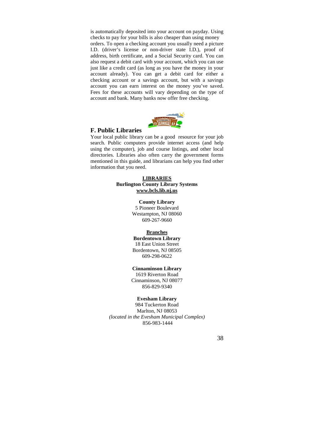is automatically deposited into your account on payday. Using checks to pay for your bills is also cheaper than using money orders. To open a checking account you usually need a picture I.D. (driver's license or non-driver state I.D.), proof of address, birth certificate, and a Social Security card. You can also request a debit card with your account, which you can use just like a credit card (as long as you have the money in your account already). You can get a debit card for either a checking account or a savings account, but with a savings account you can earn interest on the money you've saved. Fees for these accounts will vary depending on the type of account and bank. Many banks now offer free checking.



#### **F. Public Libraries**

Your local public library can be a good resource for your job search. Public computers provide internet access (and help using the computer), job and course listings, and other local directories. Libraries also often carry the government forms mentioned in this guide, and librarians can help you find other information that you need.

#### **LIBRARIES Burlington County Library Systems www.bcls.lib.nj.us**

**County Library**  5 Pioneer Boulevard Westampton, NJ 08060 609-267-9660

## **Branches**

**Bordentown Library**  18 East Union Street Bordentown, NJ 08505 609-298-0622

#### **Cinnaminson Library**

1619 Riverton Road Cinnaminson, NJ 08077 856-829-9340

#### **Evesham Library**

984 Tuckerton Road Marlton, NJ 08053 *(located in the Evesham Municipal Complex)* 856-983-1444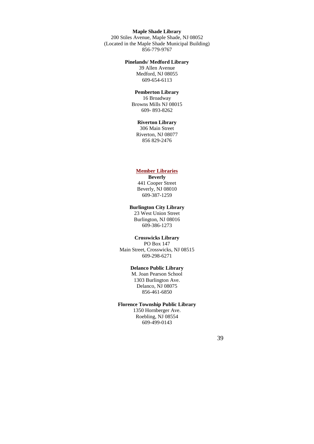#### **Maple Shade Library**

200 Stiles Avenue, Maple Shade, NJ 08052 (Located in the Maple Shade Municipal Building) 856-779-9767

#### **Pinelands/ Medford Library**

39 Allen Avenue Medford, NJ 08055 609-654-6113

#### **Pemberton Library**

16 Broadway Browns Mills NJ 08015 609- 893-8262

#### **Riverton Library**

306 Main Street Riverton, NJ 08077 856 829-2476

#### **Member Libraries**

**Beverly**  441 Cooper Street Beverly, NJ 08010 609-387-1259

#### **Burlington City Library**

23 West Union Street Burlington, NJ 08016 609-386-1273

#### **Crosswicks Library**

PO Box 147 Main Street, Crosswicks, NJ 08515 609-298-6271

#### **Delanco Public Library**

M. Joan Pearson School 1303 Burlington Ave. Delanco, NJ 08075 856-461-6850

#### **Florence Township Public Library**

1350 Hornberger Ave. Roebling, NJ 08554 609-499-0143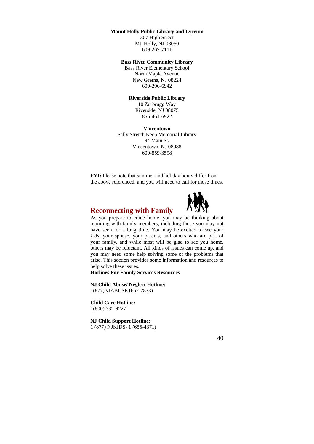#### **Mount Holly Public Library and Lyceum**

307 High Street Mt. Holly, NJ 08060 609-267-7111

#### **Bass River Community Library**

Bass River Elementary School North Maple Avenue New Gretna, NJ 08224 609-296-6942

#### **Riverside Public Library**

10 Zurbrugg Way Riverside, NJ 08075 856-461-6922

**Vincentown**  Sally Stretch Keen Memorial Library 94 Main St. Vincentown, NJ 08088 609-859-3598

**FYI:** Please note that summer and holiday hours differ from the above referenced, and you will need to call for those times.





As you prepare to come home, you may be thinking about reuniting with family members, including those you may not have seen for a long time. You may be excited to see your kids, your spouse, your parents, and others who are part of your family, and while most will be glad to see you home, others may be reluctant. All kinds of issues can come up, and you may need some help solving some of the problems that arise. This section provides some information and resources to help solve these issues.

**Hotlines For Family Services Resources** 

**NJ Child Abuse/ Neglect Hotline:**  1(877)NJABUSE (652-2873)

**Child Care Hotline:**  1(800) 332-9227

**NJ Child Support Hotline:**  1 (877) NJKIDS- 1 (655-4371)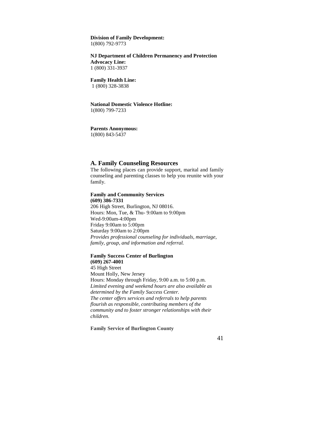## **Division of Family Development:**

1(800) 792-9773

#### **NJ Department of Children Permanency and Protection Advocacy Line:**

1 (800) 331-3937

#### **Family Health Line:**

1 (800) 328-3838

#### **National Domestic Violence Hotline:**  1(800) 799-7233

#### **Parents Anonymous:**  1(800) 843-5437

## **A. Family Counseling Resources**

The following places can provide support, marital and family counseling and parenting classes to help you reunite with your family.

#### **Family and Community Services (609) 386-7331**

206 High Street, Burlington, NJ 08016. Hours: Mon, Tue, & Thu- 9:00am to 9:00pm Wed-9:00am-4:00pm Friday 9:00am to 5:00pm Saturday 9:00am to 2:00pm *Provides professional counseling for individuals, marriage, family, group, and information and referral.* 

#### **Family Success Center of Burlington**

**(609) 267-4001**  45 High Street Mount Holly, New Jersey Hours: Monday through Friday, 9:00 a.m. to 5:00 p.m. *Limited evening and weekend hours are also available as determined by the Family Success Center. The center offers services and referrals to help parents flourish as responsible, contributing members of the community and to foster stronger relationships with their children.* 

#### **Family Service of Burlington County**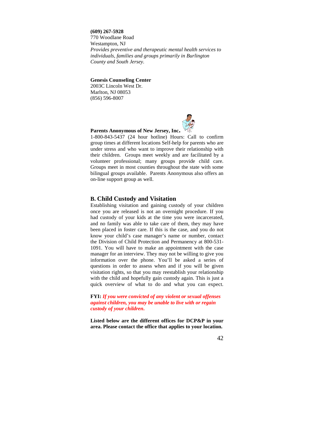**(609) 267-5928** 770 Woodlane Road Westampton, NJ *Provides preventive and therapeutic mental health services to individuals, families and groups primarily in Burlington County and South Jersey.* 

**Genesis Counseling Center** 

2003C Lincoln West Dr. Marlton, NJ 08053 (856) 596-8007



#### **Parents Anonymous of New Jersey, Inc.**

1-800-843-5437 (24 hour hotline) Hours: Call to confirm group times at different locations Self-help for parents who are under stress and who want to improve their relationship with their children. Groups meet weekly and are facilitated by a volunteer professional; many groups provide child care. Groups meet in most counties throughout the state with some bilingual groups available. Parents Anonymous also offers an on-line support group as well.

#### **B. Child Custody and Visitation**

Establishing visitation and gaining custody of your children once you are released is not an overnight procedure. If you had custody of your kids at the time you were incarcerated, and no family was able to take care of them, they may have been placed in foster care. If this is the case, and you do not know your child's case manager's name or number, contact the Division of Child Protection and Permanency at 800-531- 1091. You will have to make an appointment with the case manager for an interview. They may not be willing to give you information over the phone. You'll be asked a series of questions in order to assess when and if you will be given visitation rights, so that you may reestablish your relationship with the child and hopefully gain custody again. This is just a quick overview of what to do and what you can expect.

**FYI:** *If you were convicted of any violent or sexual offenses against children, you may be unable to live with or regain custody of your children***.**

**Listed below are the different offices for DCP&P in your area. Please contact the office that applies to your location.**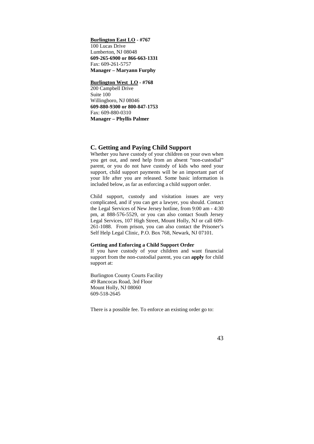#### **Burlington East LO - #767** 100 Lucas Drive Lumberton, NJ 08048 **609-265-6900 or 866-663-1331** Fax: 609-261-5757 **Manager – Maryann Furphy**

#### **Burlington West LO - #768**

200 Campbell Drive Suite 100 Willingboro, NJ 08046 **609-880-9300 or 800-847-1753** Fax: 609-880-0310 **Manager – Phyllis Palmer** 

#### **C. Getting and Paying Child Support**

Whether you have custody of your children on your own when you get out, and need help from an absent "non-custodial" parent, or you do not have custody of kids who need your support, child support payments will be an important part of your life after you are released. Some basic information is included below, as far as enforcing a child support order.

Child support, custody and visitation issues are very complicated, and if you can get a lawyer, you should. Contact the Legal Services of New Jersey hotline, from 9:00 am - 4:30 pm, at 888-576-5529, or you can also contact South Jersey Legal Services, 107 High Street, Mount Holly, NJ or call 609- 261-1088. From prison, you can also contact the Prisoner's Self Help Legal Clinic, P.O. Box 768, Newark, NJ 07101.

#### **Getting and Enforcing a Child Support Order**

If you have custody of your children and want financial support from the non-custodial parent, you can **apply** for child support at:

Burlington County Courts Facility 49 Rancocas Road, 3rd Floor Mount Holly, NJ 08060 609-518-2645

There is a possible fee. To enforce an existing order go to: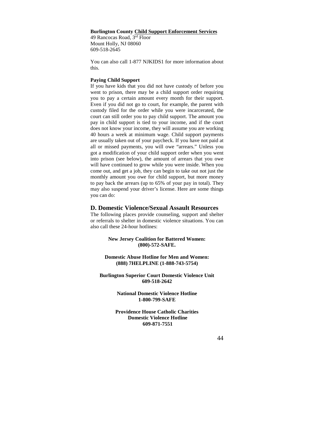#### **Burlington County Child Support Enforcement Services**

49 Rancocas Road, 3rd Floor Mount Holly, NJ 08060 609-518-2645

You can also call 1-877 NJKIDS1 for more information about this.

#### **Paying Child Support**

If you have kids that you did not have custody of before you went to prison, there may be a child support order requiring you to pay a certain amount every month for their support. Even if you did not go to court, for example, the parent with custody filed for the order while you were incarcerated, the court can still order you to pay child support. The amount you pay in child support is tied to your income, and if the court does not know your income, they will assume you are working 40 hours a week at minimum wage. Child support payments are usually taken out of your paycheck. If you have not paid at all or missed payments, you will owe "arrears." Unless you got a modification of your child support order when you went into prison (see below), the amount of arrears that you owe will have continued to grow while you were inside. When you come out, and get a job, they can begin to take out not just the monthly amount you owe for child support, but more money to pay back the arrears (up to 65% of your pay in total). They may also suspend your driver's license. Here are some things you can do:

#### **D. Domestic Violence/Sexual Assault Resources**

The following places provide counseling, support and shelter or referrals to shelter in domestic violence situations. You can also call these 24-hour hotlines:

> **New Jersey Coalition for Battered Women: (800)-572-SAFE.**

#### **Domestic Abuse Hotline for Men and Women: (888) 7HELPLINE (1-888-743-5754)**

**Burlington Superior Court Domestic Violence Unit 609-518-2642** 

> **National Domestic Violence Hotline 1-800-799-SAFE**

**Providence House Catholic Charities Domestic Violence Hotline 609-871-7551**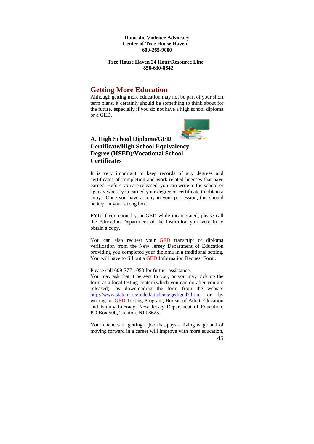**Domestic Violence Advocacy Center of Tree House Haven 609-265-9000** 

**Tree House Haven 24 Hour/Resource Line 856-630-8642** 

## **Getting More Education**

Although getting more education may not be part of your short term plans, it certainly should be something to think about for the future, especially if you do not have a high school diploma or a GED.



## **A. High School Diploma/GED Certificate/High School Equivalency Degree (HSED)/Vocational School Certificates**

It is very important to keep records of any degrees and certificates of completion and work-related licenses that have earned. Before you are released, you can write to the school or agency where you earned your degree or certificate to obtain a copy. Once you have a copy in your possession, this should be kept in your strong box.

**FYI:** If you earned your GED while incarcerated, please call the Education Department of the institution you were in to obtain a copy.

You can also request your GED transcript or diploma verification from the New Jersey Department of Education providing you completed your diploma in a traditional setting. You will have to fill out a GED Information Request Form.

Please call 609-777-1050 for further assistance.

You may ask that it be sent to you; or you may pick up the form at a local testing center (which you can do after you are released); by downloading the form from the website http://www.state.nj.us/njded/students/ged/ged7.htm; or by writing to: GED Testing Program, Bureau of Adult Education and Family Literacy, New Jersey Department of Education, PO Box 500, Trenton, NJ 08625.

45 Your chances of getting a job that pays a living wage and of moving forward in a career will improve with more education,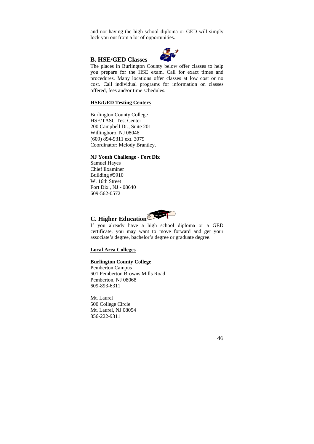and not having the high school diploma or GED will simply lock you out from a lot of opportunities.

#### **B. HSE/GED Classes**



The places in Burlington County below offer classes to help you prepare for the HSE exam. Call for exact times and procedures. Many locations offer classes at low cost or no cost. Call individual programs for information on classes offered, fees and/or time schedules.

#### **HSE/GED Testing Centers**

Burlington County College HSE/TASC Test Center 200 Campbell Dr., Suite 201 Willingboro, NJ 08046 (609) 894-9311 ext. 3079 Coordinator: Melody Brantley.

#### **NJ Youth Challenge - Fort Dix**

Samuel Hayes Chief Examiner Building #5910 W. 16th Street Fort Dix , NJ - 08640 609-562-0572



If you already have a high school diploma or a GED certificate, you may want to move forward and get your associate's degree, bachelor's degree or graduate degree.

#### **Local Area Colleges**

#### **Burlington County College**

Pemberton Campus 601 Pemberton Browns Mills Road Pemberton, NJ 08068 609-893-6311

Mt. Laurel 500 College Circle Mt. Laurel, NJ 08054 856-222-9311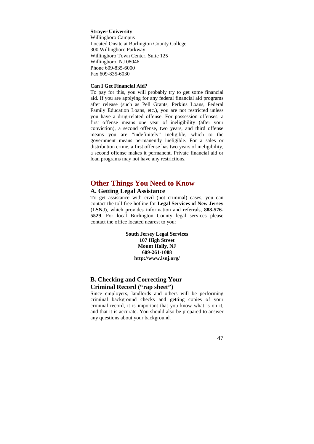#### **Strayer University**

Willingboro Campus Located Onsite at Burlington County College 300 Willingboro Parkway Willingboro Town Center, Suite 125 Willingboro, NJ 08046 Phone 609-835-6000 Fax 609-835-6030

#### **Can I Get Financial Aid?**

To pay for this, you will probably try to get some financial aid. If you are applying for any federal financial aid programs after release (such as Pell Grants, Perkins Loans, Federal Family Education Loans, etc.), you are not restricted unless you have a drug-related offense. For possession offenses, a first offense means one year of ineligibility (after your conviction), a second offense, two years, and third offense means you are "indefinitely" ineligible, which to the government means permanently ineligible. For a sales or distribution crime, a first offense has two years of ineligibility, a second offense makes it permanent. Private financial aid or loan programs may not have any restrictions.

## **Other Things You Need to Know**

#### **A. Getting Legal Assistance**

To get assistance with civil (not criminal) cases, you can contact the toll free hotline for **Legal Services of New Jersey (LSNJ)**, which provides information and referrals, **888-576- 5529**. For local Burlington County legal services please contact the office located nearest to you:

> **South Jersey Legal Services 107 High Street Mount Holly, NJ 609-261-1088 http://www.lsnj.org/**

## **B. Checking and Correcting Your Criminal Record ("rap sheet")**

Since employers, landlords and others will be performing criminal background checks and getting copies of your criminal record, it is important that you know what is on it, and that it is accurate. You should also be prepared to answer any questions about your background.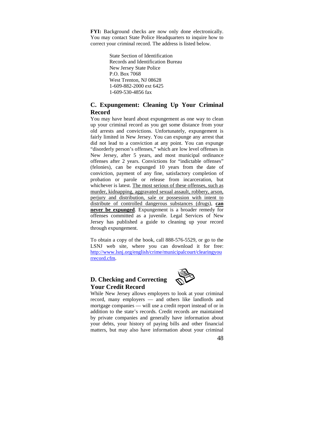**FYI:** Background checks are now only done electronically. You may contact State Police Headquarters to inquire how to correct your criminal record. The address is listed below.

> State Section of Identification Records and Identification Bureau New Jersey State Police P.O. Box 7068 West Trenton, NJ 08628 1-609-882-2000 ext 6425 1-609-530-4856 fax

#### **C. Expungement: Cleaning Up Your Criminal Record**

You may have heard about expungement as one way to clean up your criminal record as you get some distance from your old arrests and convictions. Unfortunately, expungement is fairly limited in New Jersey. You can expunge any arrest that did not lead to a conviction at any point. You can expunge "disorderly person's offenses," which are low level offenses in New Jersey, after 5 years, and most municipal ordinance offenses after 2 years. Convictions for "indictable offenses" (felonies), can be expunged 10 years from the date of conviction, payment of any fine, satisfactory completion of probation or parole or release from incarceration, but whichever is latest. The most serious of these offenses, such as murder, kidnapping, aggravated sexual assault, robbery, arson, perjury and distribution, sale or possession with intent to distribute of controlled dangerous substances (drugs), **can never be expunged**. Expungement is a broader remedy for offenses committed as a juvenile. Legal Services of New Jersey has published a guide to cleaning up your record through expungement.

To obtain a copy of the book, call 888-576-5529, or go to the LSNJ web site, where you can download it for free: http://www.lsnj.org/english/crime/municipalcourt/clearingyou rrecord.cfm.

## **D. Checking and Correcting Your Credit Record**



While New Jersey allows employers to look at your criminal record, many employers — and others like landlords and mortgage companies — will use a credit report instead of or in addition to the state's records. Credit records are maintained by private companies and generally have information about your debts, your history of paying bills and other financial matters, but may also have information about your criminal

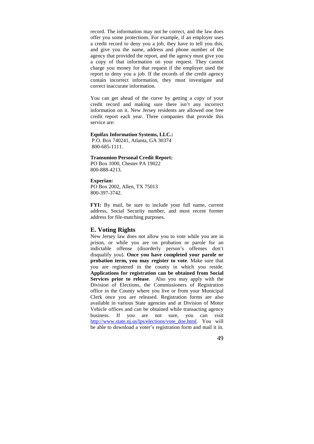record. The information may not be correct, and the law does offer you some protections. For example, if an employer uses a credit record to deny you a job, they have to tell you this, and give you the name, address and phone number of the agency that provided the report, and the agency must give you a copy of that information on your request. They cannot charge you money for that request if the employer used the report to deny you a job. If the records of the credit agency contain incorrect information, they must investigate and correct inaccurate information.

You can get ahead of the curve by getting a copy of your credit record and making sure there isn't any incorrect information on it. New Jersey residents are allowed one free credit report each year. Three companies that provide this service are:

#### **Equifax Information Systems, LLC.:**

 P.O. Box 740241, Atlanta, GA 30374 800-685-1111.

#### **Transunion Personal Credit Report:** PO Box 1000, Chester PA 19022

800-888-4213.

#### **Experian:**

PO Box 2002, Allen, TX 75013 800-397-3742.

FYI: By mail, be sure to include your full name, current address, Social Security number, and most recent former address for file-matching purposes.

#### **E. Voting Rights**

New Jersey law does not allow you to vote while you are in prison, or while you are on probation or parole for an indictable offense (disorderly person's offenses don't disqualify you). **Once you have completed your parole or probation term, you may register to vote**. Make sure that you are registered in the county in which you reside. **Applications for registration can be obtained from Social Services prior to release**. Also you may apply with the Division of Elections, the Commissioners of Registration office in the County where you live or from your Municipal Clerk once you are released. Registration forms are also available in various State agencies and at Division of Motor Vehicle offices and can be obtained while transacting agency business. If you are not sure, you can visit http://www.state.nj.us/lps/elections/vote\_doe.html. You will be able to download a voter's registration form and mail it in.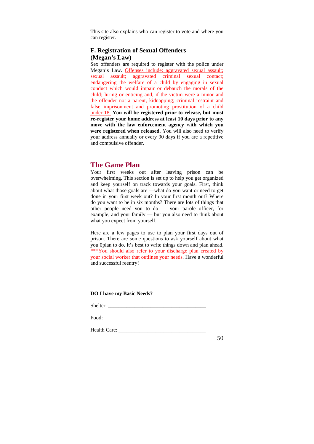This site also explains who can register to vote and where you can register.

## **F. Registration of Sexual Offenders (Megan's Law)**

Sex offenders are required to register with the police under Megan's Law. Offenses include: aggravated sexual assault; sexual assault; aggravated criminal sexual contact; endangering the welfare of a child by engaging in sexual conduct which would impair or debauch the morals of the child; luring or enticing and, if the victim were a minor and the offender not a parent, kidnapping; criminal restraint and false imprisonment and promoting prostitution of a child under 18. **You will be registered prior to release, but must re-register your home address at least 10 days prior to any move with the law enforcement agency** w**ith which you were registered when released.** You will also need to verify your address annually or every 90 days if you are a repetitive and compulsive offender.

## **The Game Plan**

Your first weeks out after leaving prison can be overwhelming. This section is set up to help you get organized and keep yourself on track towards your goals. First, think about what those goals are —what do you want or need to get done in your first week out? In your first month out? Where do you want to be in six months? There are lots of things that other people need you to do — your parole officer, for example, and your family — but you also need to think about what you expect from yourself.

Here are a few pages to use to plan your first days out of prison. There are some questions to ask yourself about what you 0plan to do. It's best to write things down and plan ahead. \*\*\*You should also refer to your discharge plan created by your social worker that outlines your needs. Have a wonderful and successful reentry!

#### **DO I have my Basic Needs?**

Shelter:

Food: \_\_\_\_\_\_\_\_\_\_\_\_\_\_\_\_\_\_\_\_\_\_\_\_\_\_\_\_\_\_\_\_\_\_\_\_\_\_\_

Health Care: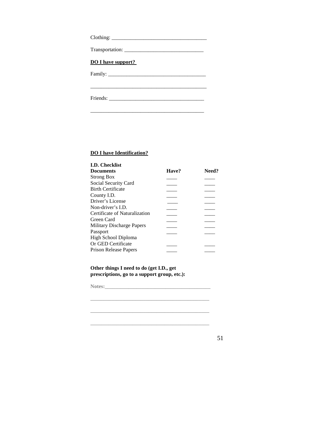| <b>DO I have support?</b> |
|---------------------------|
|                           |
|                           |
|                           |
|                           |

#### **DO I have Identification?**

| <b>I.D. Checklist</b>         |       |       |
|-------------------------------|-------|-------|
| <b>Documents</b>              | Have? | Need? |
| <b>Strong Box</b>             |       |       |
| Social Security Card          |       |       |
| <b>Birth Certificate</b>      |       |       |
| County I.D.                   |       |       |
| Driver's License              |       |       |
| Non-driver's $LD$ .           |       |       |
| Certificate of Naturalization |       |       |
| Green Card                    |       |       |
| Military Discharge Papers     |       |       |
| Passport                      |       |       |
| High School Diploma           |       |       |
| Or GED Certificate            |       |       |
| <b>Prison Release Papers</b>  |       |       |
|                               |       |       |

**Other things I need to do (get I.D., get prescriptions, go to a support group, etc.):** 

**\_\_\_\_\_\_\_\_\_\_\_\_\_\_\_\_\_\_\_\_\_\_\_\_\_\_\_\_\_\_\_\_\_\_\_\_\_\_\_\_\_\_\_\_\_** 

**Notes:\_\_\_\_\_\_\_\_\_\_\_\_\_\_\_\_\_\_\_\_\_\_\_\_\_\_\_\_\_\_\_\_\_\_\_\_\_\_\_\_**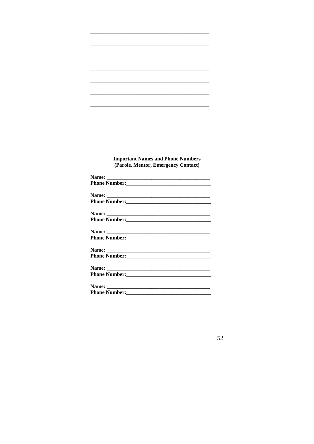### **Important Names and Phone Numbers** (Parole, Mentor, Emergency Contact)

| Phone Number: |
|---------------|
|               |
|               |
|               |
|               |
|               |
|               |
|               |
|               |